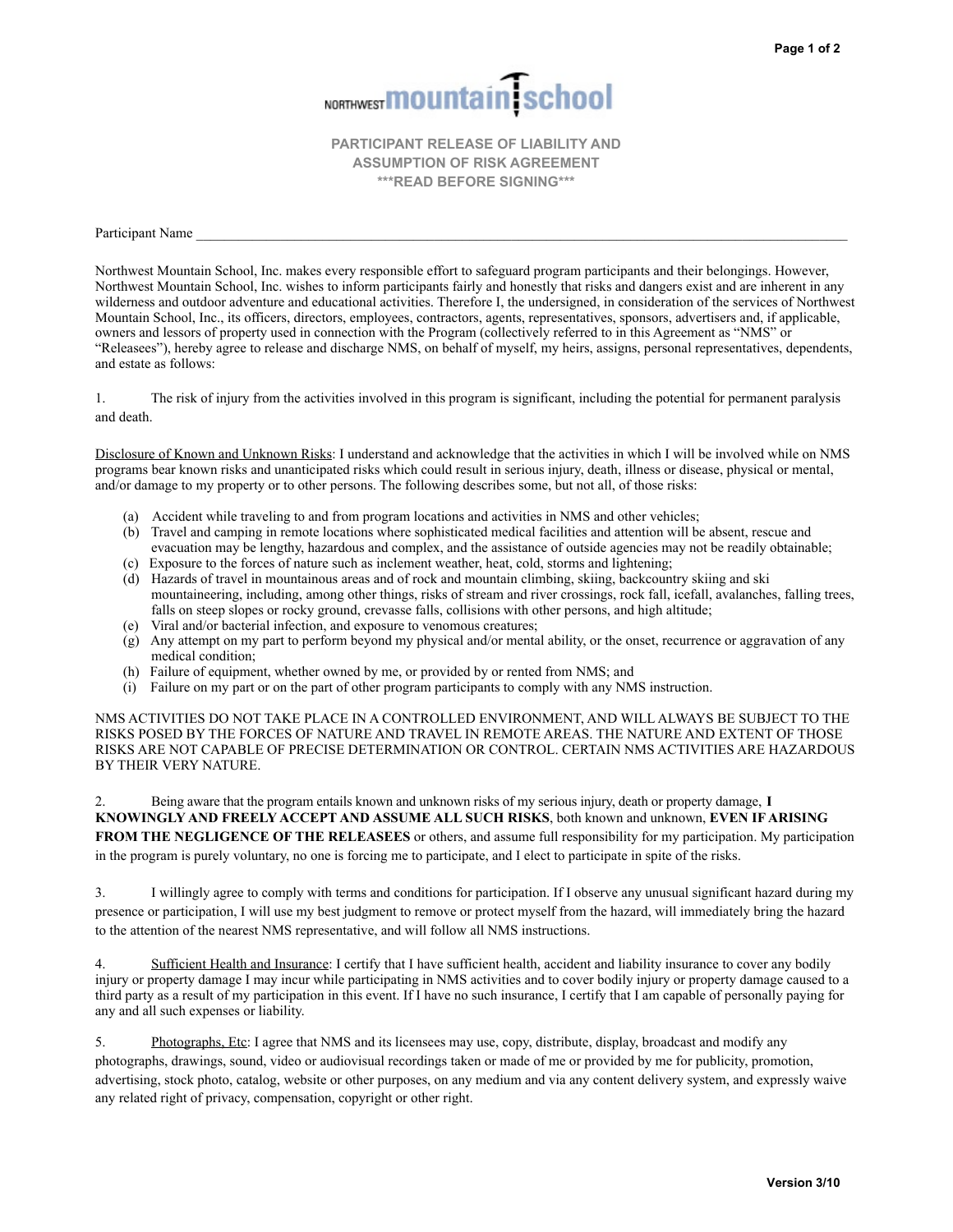

**PARTICIPANT RELEASE OF LIABILITY AND ASSUMPTION OF RISK AGREEMENT \*\*\*READ BEFORE SIGNING\*\*\***

Participant Name

Northwest Mountain School, Inc. makes every responsible effort to safeguard program participants and their belongings. However, Northwest Mountain School, Inc. wishes to inform participants fairly and honestly that risks and dangers exist and are inherent in any wilderness and outdoor adventure and educational activities. Therefore I, the undersigned, in consideration of the services of Northwest Mountain School, Inc., its officers, directors, employees, contractors, agents, representatives, sponsors, advertisers and, if applicable, owners and lessors of property used in connection with the Program (collectively referred to in this Agreement as "NMS" or "Releasees"), hereby agree to release and discharge NMS, on behalf of myself, my heirs, assigns, personal representatives, dependents, and estate as follows:

1. The risk of injury from the activities involved in this program is significant, including the potential for permanent paralysis and death.

Disclosure of Known and Unknown Risks: I understand and acknowledge that the activities in which I will be involved while on NMS programs bear known risks and unanticipated risks which could result in serious injury, death, illness or disease, physical or mental, and/or damage to my property or to other persons. The following describes some, but not all, of those risks:

- (a) Accident while traveling to and from program locations and activities in NMS and other vehicles;
- (b) Travel and camping in remote locations where sophisticated medical facilities and attention will be absent, rescue and evacuation may be lengthy, hazardous and complex, and the assistance of outside agencies may not be readily obtainable;
- (c) Exposure to the forces of nature such as inclement weather, heat, cold, storms and lightening;
- (d) Hazards of travel in mountainous areas and of rock and mountain climbing, skiing, backcountry skiing and ski mountaineering, including, among other things, risks of stream and river crossings, rock fall, icefall, avalanches, falling trees, falls on steep slopes or rocky ground, crevasse falls, collisions with other persons, and high altitude;
- (e) Viral and/or bacterial infection, and exposure to venomous creatures;
- (g) Any attempt on my part to perform beyond my physical and/or mental ability, or the onset, recurrence or aggravation of any medical condition;
- (h) Failure of equipment, whether owned by me, or provided by or rented from NMS; and
- (i) Failure on my part or on the part of other program participants to comply with any NMS instruction.

NMS ACTIVITIES DO NOT TAKE PLACE IN A CONTROLLED ENVIRONMENT, AND WILL ALWAYS BE SUBJECT TO THE RISKS POSED BY THE FORCES OF NATURE AND TRAVEL IN REMOTE AREAS. THE NATURE AND EXTENT OF THOSE RISKS ARE NOT CAPABLE OF PRECISE DETERMINATION OR CONTROL. CERTAIN NMS ACTIVITIES ARE HAZARDOUS BY THEIR VERY NATURE.

2. Being aware that the program entails known and unknown risks of my serious injury, death or property damage, **I KNOWINGLY AND FREELY ACCEPT AND ASSUME ALL SUCH RISKS**, both known and unknown, **EVEN IF ARISING FROM THE NEGLIGENCE OF THE RELEASEES** or others, and assume full responsibility for my participation. My participation in the program is purely voluntary, no one is forcing me to participate, and I elect to participate in spite of the risks.

3. I willingly agree to comply with terms and conditions for participation. If I observe any unusual significant hazard during my presence or participation, I will use my best judgment to remove or protect myself from the hazard, will immediately bring the hazard to the attention of the nearest NMS representative, and will follow all NMS instructions.

4. Sufficient Health and Insurance: I certify that I have sufficient health, accident and liability insurance to cover any bodily injury or property damage I may incur while participating in NMS activities and to cover bodily injury or property damage caused to a third party as a result of my participation in this event. If I have no such insurance, I certify that I am capable of personally paying for any and all such expenses or liability.

5. Photographs, Etc: I agree that NMS and its licensees may use, copy, distribute, display, broadcast and modify any photographs, drawings, sound, video or audiovisual recordings taken or made of me or provided by me for publicity, promotion, advertising, stock photo, catalog, website or other purposes, on any medium and via any content delivery system, and expressly waive any related right of privacy, compensation, copyright or other right.